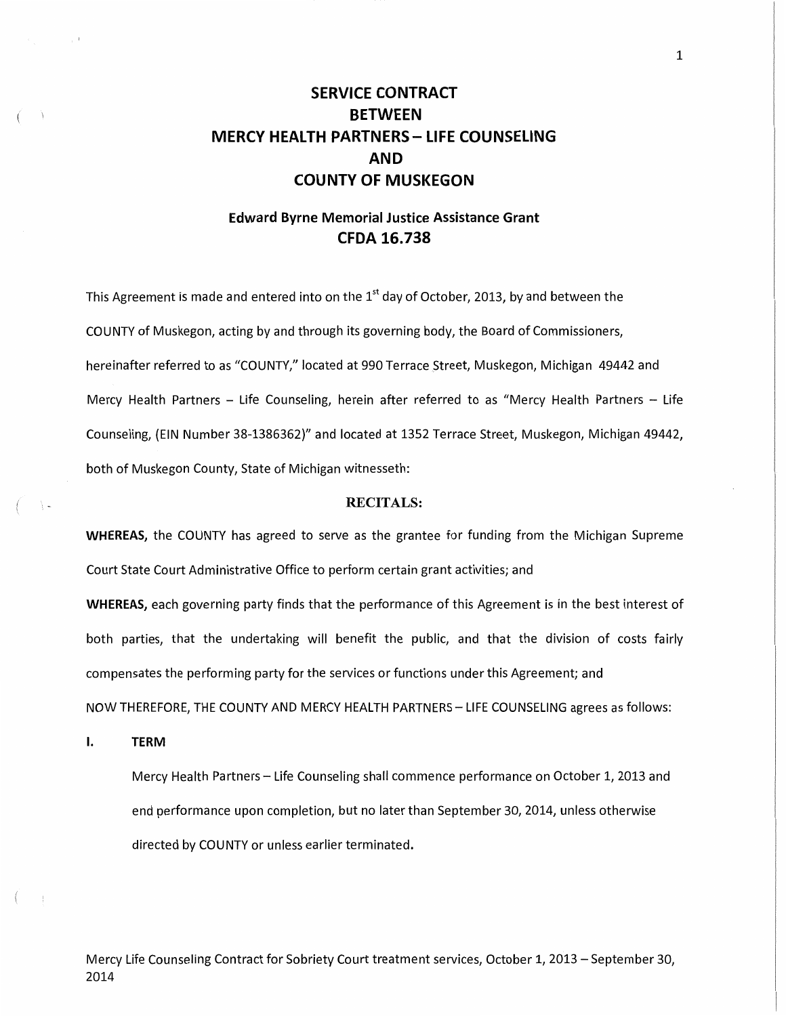# **SERVICE CONTRACT BETWEEN MERCY HEALTH PARTNERS- LIFE COUNSELING AND COUNTY OF MUSKEGON**

## **Edward Byrne Memorial Justice Assistance Grant CFDA 16.738**

This Agreement is made and entered into on the  $1<sup>st</sup>$  day of October, 2013, by and between the COUNTY of Muskegon, acting by and through its governing body, the Board of Commissioners, hereinafter referred to as "COUNTY," located at 990 Terrace Street, Muskegon, Michigan 49442 and Mercy Health Partners - Life Counseling, herein after referred to as "Mercy Health Partners - Life Counseling, (EIN Number 38-1386362)" and located at 1352 Terrace Street, Muskegon, Michigan 49442, both of Muskegon County, State of Michigan witnesseth:

## RECITALS:

**WHEREAS,** the COUNTY has agreed to serve as the grantee for funding from the Michigan Supreme Court State Court Administrative Office to perform certain grant activities; and **WHEREAS,** each governing party finds that the performance of this Agreement is in the best interest of both parties, that the undertaking will benefit the public, and that the division of costs fairly compensates the performing party for the services or functions under this Agreement; and NOW THEREFORE, THE COUNTY AND MERCY HEALTH PARTNERS- LIFE COUNSELING agrees as follows:

**I. TERM** 

Mercy Health Partners- Life Counseling shall commence performance on October 1, 2013 and end performance upon completion, but no later than September 30, 2014, unless otherwise directed by COUNTY or unless earlier terminated.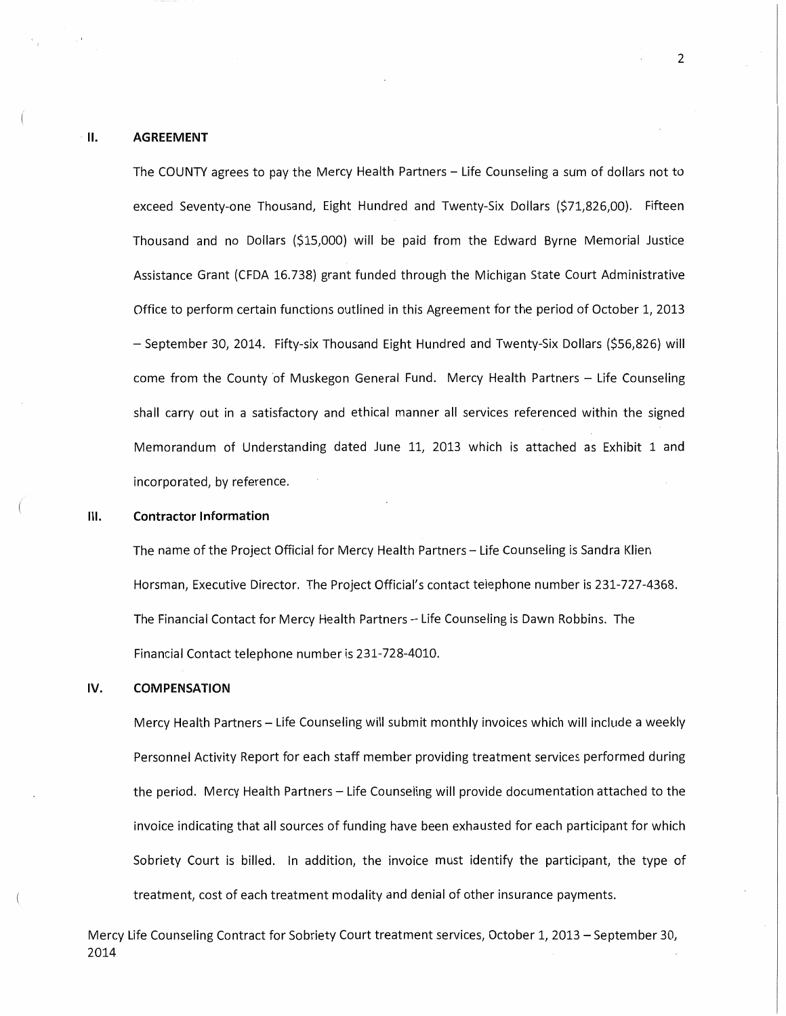## II. AGREEMENT

The COUNTY agrees to pay the Mercy Health Partners - Life Counseling a sum of dollars not to exceed Seventy-one Thousand, Eight Hundred and Twenty-Six Dollars (\$71,826,00}. Fifteen Thousand and no Dollars (\$15,000} will be paid from the Edward Byrne Memorial Justice Assistance Grant (CFDA 16.738} grant funded through the Michigan State Court Administrative Office to perform certain functions outlined in this Agreement for the period of October 1, 2013 – September 30, 2014. Fifty-six Thousand Eight Hundred and Twenty-Six Dollars (\$56,826) will come from the County of Muskegon General Fund. Mercy Health Partners - Life Counseling shall carry out in a satisfactory and ethical manner all services referenced within the signed Memorandum of Understanding dated June 11, 2013 which is attached as Exhibit 1 and incorporated, by reference.

## Ill. Contractor Information

The name of the Project Official for Mercy Health Partners - Life Counseling is Sandra Klien Horsman, Executive Director. The Project Official's contact telephone number is 231-727-4368. The Financial Contact for Mercy Health Partners- Life Counseling is Dawn Robbins. The Financial Contact telephone number is 231-728-4010.

#### IV. COMPENSATION

Mercy Health Partners- Life Counseling will submit monthly invoices which will include a weekly Personnel Activity Report for each staff member providing treatment services performed during the period. Mercy Health Partners - Life Counseling will provide documentation attached to the invoice indicating that all sources of funding have been exhausted for each participant for which Sobriety Court is billed. In addition, the invoice must identify the participant, the type of treatment, cost of each treatment modality and denial of other insurance payments.

Mercy Life Counseling Contract for Sobriety Court treatment services, October 1, 2013 – September 30, 2014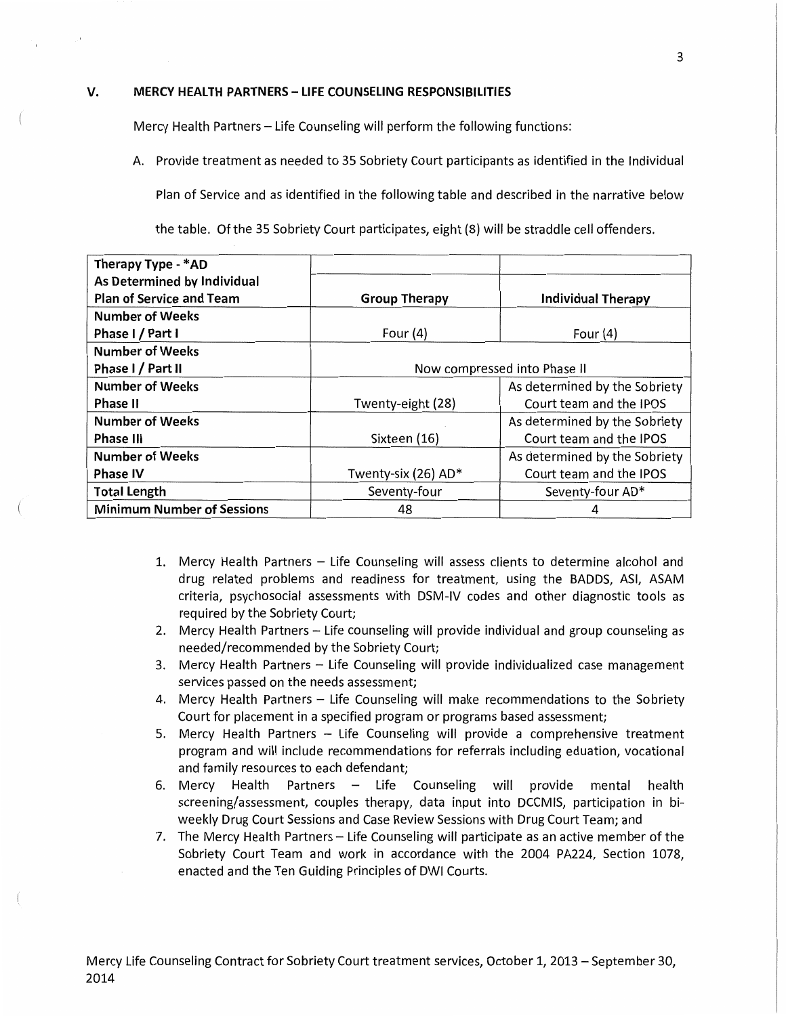#### **V. MERCY HEALTH PARTNERS- LIFE COUNSELING RESPONSIBILITIES**

Mercy Health Partners- Life Counseling will perform the following functions:

A. Provide treatment as needed to 35 Sobriety Court participants as identified in the Individual

Plan of Service and as identified in the following table and described in the narrative below

the table. Of the 35 Sobriety Court participates, eight (8) will be straddle cell offenders.

| Therapy Type - *AD                |                              |                               |
|-----------------------------------|------------------------------|-------------------------------|
| As Determined by Individual       |                              |                               |
| <b>Plan of Service and Team</b>   | <b>Group Therapy</b>         | <b>Individual Therapy</b>     |
| <b>Number of Weeks</b>            |                              |                               |
| Phase I / Part I                  | Four $(4)$                   | Four $(4)$                    |
| <b>Number of Weeks</b>            |                              |                               |
| Phase I / Part II                 | Now compressed into Phase II |                               |
| <b>Number of Weeks</b>            |                              | As determined by the Sobriety |
| <b>Phase II</b>                   | Twenty-eight (28)            | Court team and the IPOS       |
| <b>Number of Weeks</b>            |                              | As determined by the Sobriety |
| <b>Phase III</b>                  | Sixteen (16)                 | Court team and the IPOS       |
| <b>Number of Weeks</b>            |                              | As determined by the Sobriety |
| <b>Phase IV</b>                   | Twenty-six (26) AD*          | Court team and the IPOS       |
| <b>Total Length</b>               | Seventy-four                 | Seventy-four AD*              |
| <b>Minimum Number of Sessions</b> | 48                           |                               |

- 1. Mercy Health Partners Life Counseling will assess clients to determine alcohol and drug related problems and readiness for treatment, using the BADDS, ASI, ASAM criteria, psychosocial assessments with DSM-IV codes and other diagnostic tools as required by the Sobriety Court;
- 2. Mercy Health Partners- Life counseling will provide individual and group counseling as needed/recommended by the Sobriety Court;
- 3. Mercy Health Partners Life Counseling will provide individualized case management services passed on the needs assessment;
- 4. Mercy Health Partners Life Counseling will make recommendations to the Sobriety Court for placement in a specified program or programs based assessment;
- 5. Mercy Health Partners Life Counseling will provide a comprehensive treatment program and will include recommendations for referrals including eduation, vocational and family resources to each defendant;
- 6. Mercy Health Partners Life Counseling will provide mental health screening/assessment, couples therapy, data input into DCCMIS, participation in biweekly Drug Court Sessions and Case Review Sessions with Drug Court Team; and
- 7. The Mercy Health Partners Life Counseling will participate as an active member of the Sobriety Court Team and work in accordance with the 2004 PA224, Section 1078, enacted and the Ten Guiding Principles of DWI Courts.

3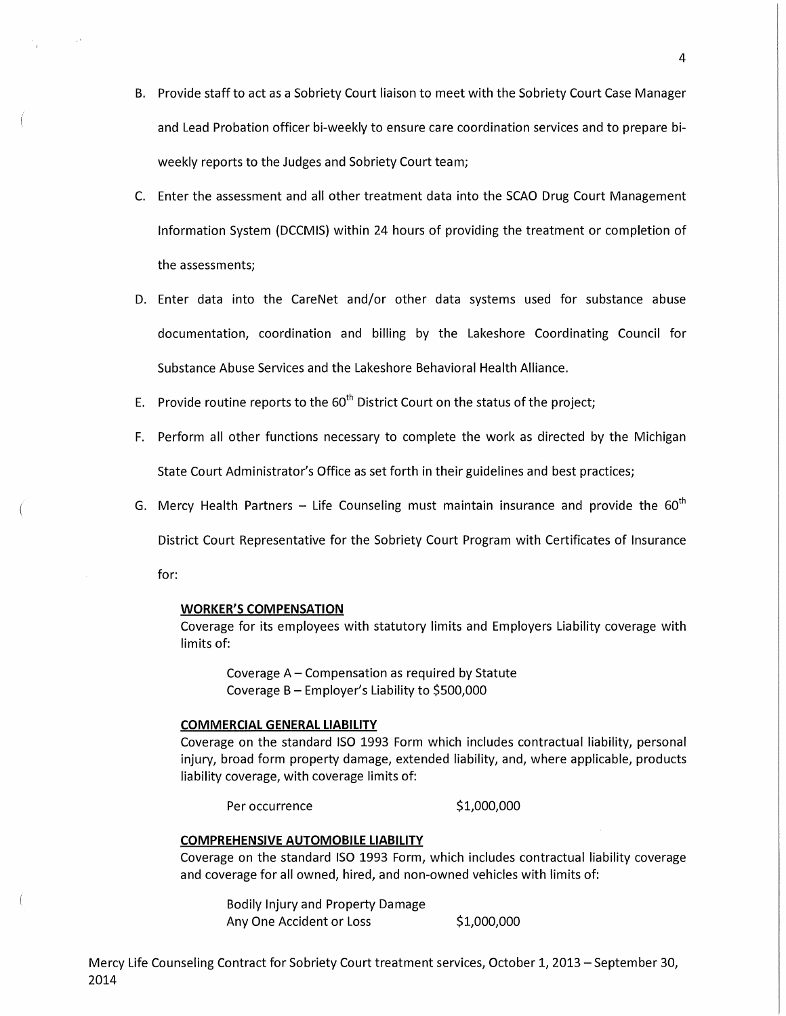- B. Provide staff to act as a Sobriety Court liaison to meet with the Sobriety Court Case Manager and Lead Probation officer bi-weekly to ensure care coordination services and to prepare biweekly reports to the Judges and Sobriety Court team;
- C. Enter the assessment and all other treatment data into the SCAO Drug Court Management Information System (DCCMIS) within 24 hours of providing the treatment or completion of the assessments;
- D. Enter data into the CareNet and/or other data systems used for substance abuse documentation, coordination and billing by the Lakeshore Coordinating Council for Substance Abuse Services and the Lakeshore Behavioral Health Alliance.
- E. Provide routine reports to the  $60<sup>th</sup>$  District Court on the status of the project;
- F. Perform all other functions necessary to complete the work as directed by the Michigan State Court Administrator's Office as set forth in their guidelines and best practices;
- G. Mercy Health Partners Life Counseling must maintain insurance and provide the  $60^{th}$

District Court Representative for the Sobriety Court Program with Certificates of Insurance

for:

## **WORKER'S COMPENSATION**

Coverage for its employees with statutory limits and Employers Liability coverage with limits of:

Coverage A- Compensation as required by Statute Coverage B- Employer's Liability to \$500,000

#### **COMMERCIAL GENERAL LIABILITY**

Coverage on the standard ISO 1993 Form which includes contractual liability, personal injury, broad form property damage, extended liability, and, where applicable, products liability coverage, with coverage limits of:

Per occurrence \$1,000,000

## **COMPREHENSIVE AUTOMOBILE LIABILITY**

Coverage on the standard ISO 1993 Form, which includes contractual liability coverage and coverage for all owned, hired, and non-owned vehicles with limits of:

Bodily Injury and Property Damage Any One Accident or Loss \$1,000,000

Mercy Life Counseling Contract for Sobriety Court treatment services, October 1, 2013- September 30, 2014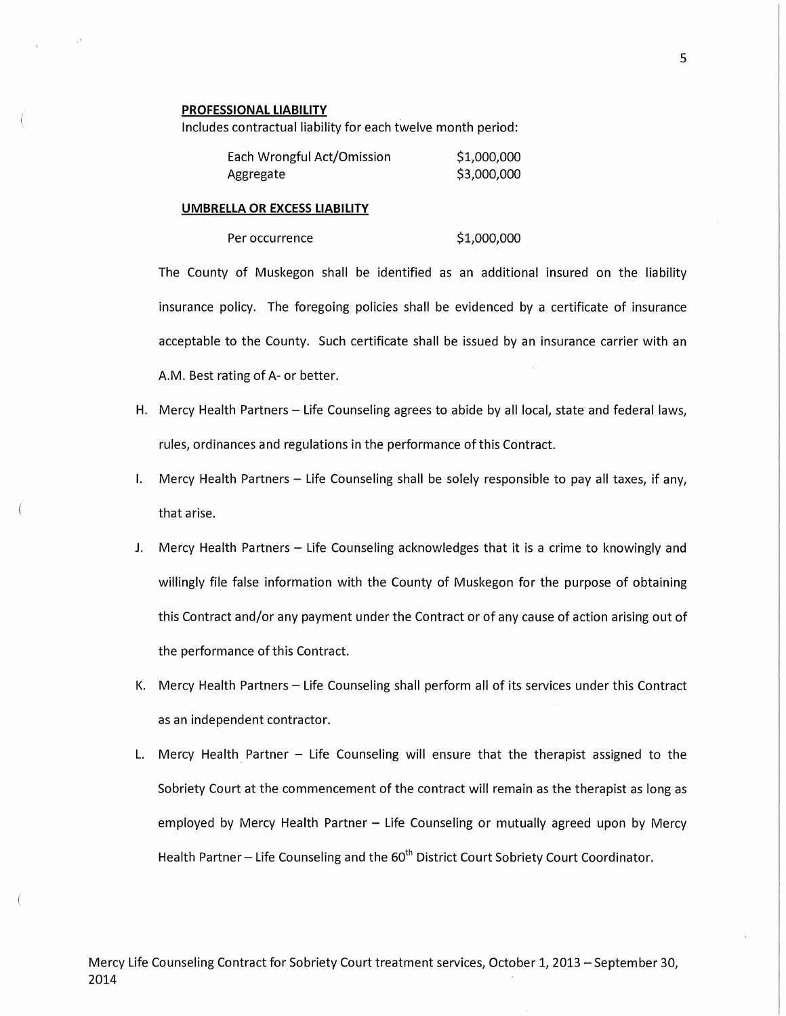#### **PROFESSIONAL LIABILITY**

Includes contractual liability for each twelve month period:

| Each Wrongful Act/Omission | \$1,000,000 |
|----------------------------|-------------|
| Aggregate                  | \$3,000,000 |

#### **UMBRELLA OR EXCESS LIABILITY**

Per occurrence \$1,000,000

The County of Muskegon shall be identified as an additional insured on the liability insurance policy. The foregoing policies shall be evidenced by a certificate of insurance acceptable to the County. Such certificate shall be issued by an insurance carrier with an A.M. Best rating of A- or better.

- H. Mercy Health Partners- Life Counseling agrees to abide by all local, state and federal laws, rules, ordinances and regulations in the performance of this Contract.
- I. Mercy Health Partners Life Counseling shall be solely responsible to pay all taxes, if any, that arise.
- J. Mercy Health Partners Life Counseling acknowledges that it is a crime to knowingly and willingly file false information with the County of Muskegon for the purpose of obtaining this Contract and/or any payment under the Contract or of any cause of action arising out of the performance of this Contract.
- K. Mercy Health Partners- Life Counseling shall perform all of its services under this Contract as an independent contractor.
- L. Mercy Health Partner Life Counseling will ensure that the therapist assigned to the Sobriety Court at the commencement of the contract will remain as the therapist as long as employed by Mercy Health Partner - Life Counseling or mutually agreed upon by Mercy Health Partner – Life Counseling and the  $60<sup>th</sup>$  District Court Sobriety Court Coordinator.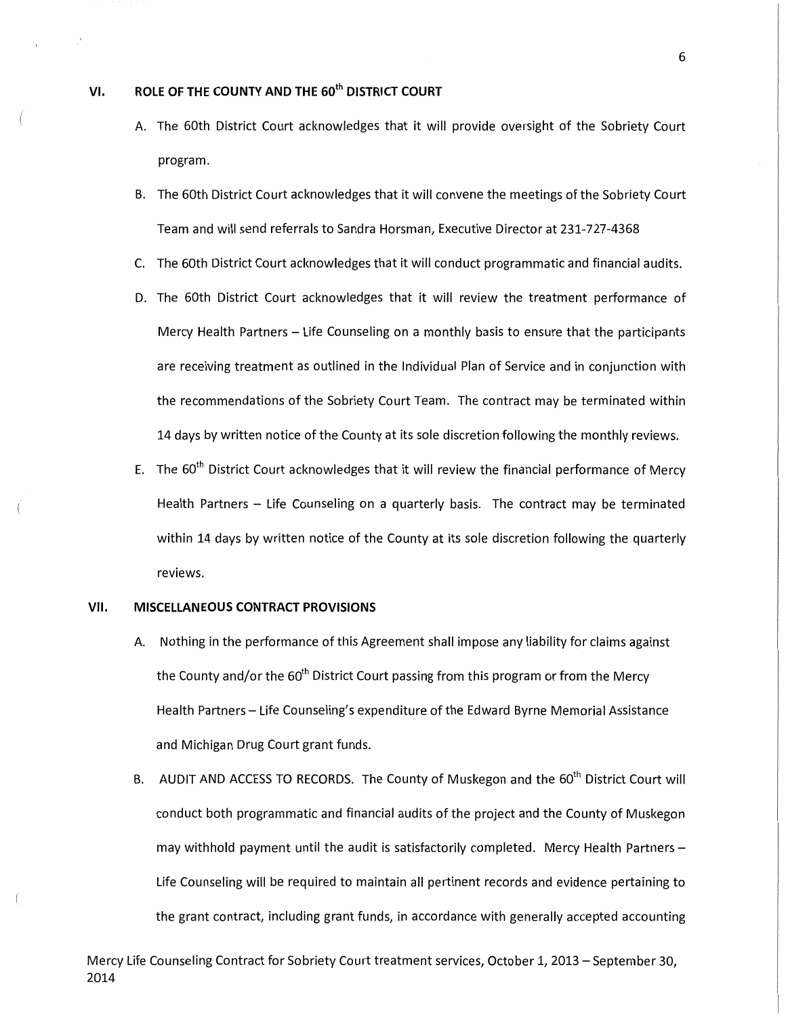## VI. ROLE OF THE COUNTY AND THE 60<sup>th</sup> DISTRICT COURT

- A. The 60th District Court acknowledges that it will provide oversight of the Sobriety Court program.
- B. The 60th District Court acknowledges that it will convene the meetings of the Sobriety Court Team and will send referrals to Sandra Horsman, Executive Director at 231-727-4368
- C. The 60th District Court acknowledges that it will conduct programmatic and financial audits.
- D. The 60th District Court acknowledges that it will review the treatment performance of Mercy Health Partners - Life Counseling on a monthly basis to ensure that the participants are receiving treatment as outlined in the Individual Plan of Service and in conjunction with the recommendations of the Sobriety Court Team. The contract may be terminated within 14 days by written notice of the County at its sole discretion following the monthly reviews.
- E. The  $60<sup>th</sup>$  District Court acknowledges that it will review the financial performance of Mercy Health Partners - Life Counseling on a quarterly basis. The contract may be terminated within 14 days by written notice of the County at its sole discretion following the quarterly reviews.

## VII. MISCELLANEOUS CONTRACT PROVISIONS

- A. Nothing in the performance of this Agreement shall impose any liability for claims against the County and/or the 60<sup>th</sup> District Court passing from this program or from the Mercy Health Partners- Life Counseling's expenditure of the Edward Byrne Memorial Assistance and Michigan Drug Court grant funds.
- B. AUDIT AND ACCESS TO RECORDS. The County of Muskegon and the 60<sup>th</sup> District Court will conduct both programmatic and financial audits of the project and the County of Muskegon may withhold payment until the audit is satisfactorily completed. Mercy Health Partners-Life Counseling will be required to maintain all pertinent records and evidence pertaining to the grant contract, including grant funds, in accordance with generally accepted accounting

6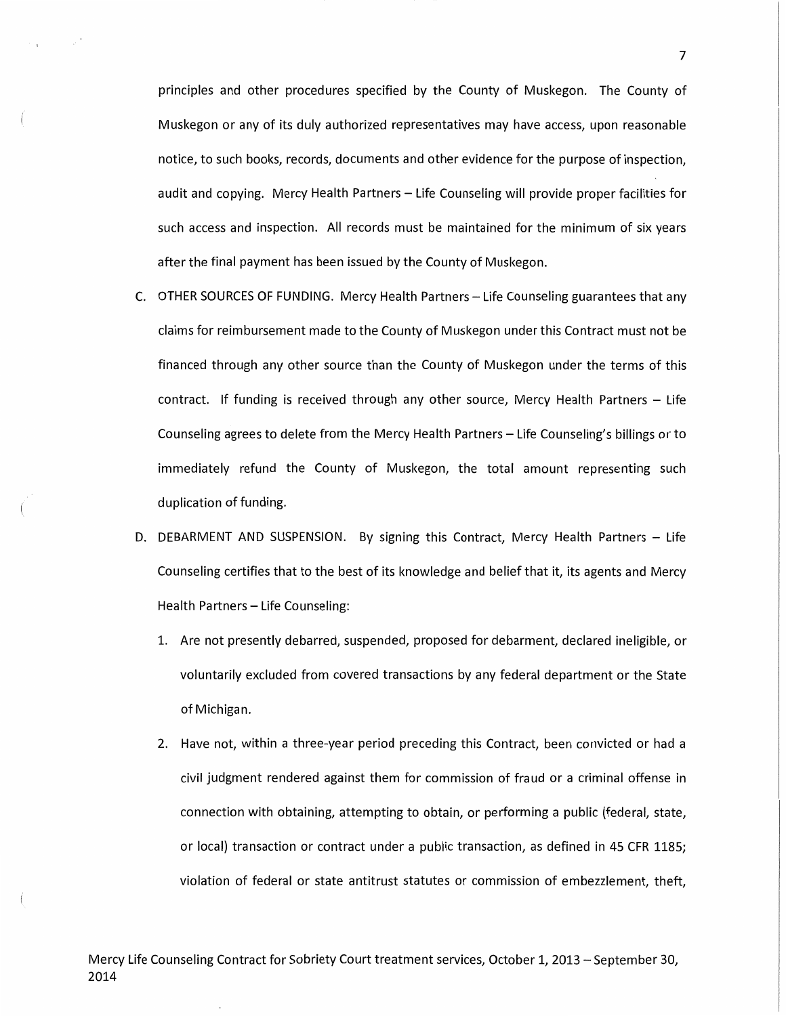principles and other procedures specified by the County of Muskegon. The County of Muskegon or any of its duly authorized representatives may have access, upon reasonable notice, to such books, records, documents and other evidence for the purpose of inspection, audit and copying. Mercy Health Partners- Life Counseling will provide proper facilities for such access and inspection. All records must be maintained for the minimum of six years after the final payment has been issued by the County of Muskegon.

- C. OTHER SOURCES OF FUNDING. Mercy Health Partners Life Counseling guarantees that any claims for reimbursement made to the County of Muskegon under this Contract must not be financed through any other source than the County of Muskegon under the terms of this contract. If funding is received through any other source, Mercy Health Partners  $-$  Life Counseling agrees to delete from the Mercy Health Partners- Life Counseling's billings or to immediately refund the County of Muskegon, the total amount representing such duplication of funding.
- D. DEBARMENT AND SUSPENSION. By signing this Contract, Mercy Health Partners Life Counseling certifies that to the best of its knowledge and belief that it, its agents and Mercy Health Partners - Life Counseling:
	- 1. Are not presently debarred, suspended, proposed for debarment, declared ineligible, or voluntarily excluded from covered transactions by any federal department or the State of Michigan.
	- 2. Have not, within a three-year period preceding this Contract, been convicted or had a civil judgment rendered against them for commission of fraud or a criminal offense in connection with obtaining, attempting to obtain, or performing a public (federal, state, or local) transaction or contract under a public transaction, as defined in 45 CFR 1185; violation of federal or state antitrust statutes or commission of embezzlement, theft,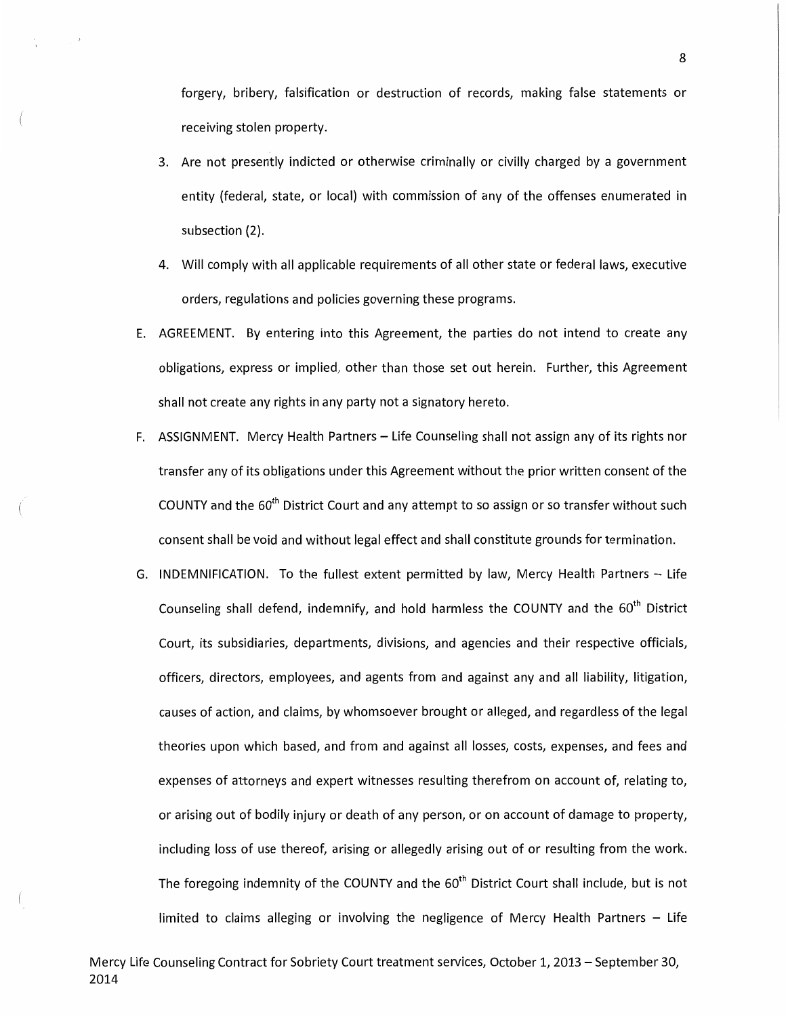forgery, bribery, falsification or destruction of records, making false statements or receiving stolen property.

- 3. Are not presently indicted or otherwise criminally or civilly charged by a government entity (federal, state, or local) with commission of any of the offenses enumerated in subsection (2).
- 4. Will comply with all applicable requirements of all other state or federal laws, executive orders, regulations and policies governing these programs.
- E. AGREEMENT. By entering into this Agreement, the parties do not intend to create any obligations, express or implied, other than those set out herein. Further, this Agreement shall not create any rights in any party not a signatory hereto.
- F. ASSIGNMENT. Mercy Health Partners Life Counseling shall not assign any of its rights nor transfer any of its obligations under this Agreement without the prior written consent of the COUNTY and the  $60<sup>th</sup>$  District Court and any attempt to so assign or so transfer without such consent shall be void and without legal effect and shall constitute grounds for termination.
- G. INDEMNIFICATION. To the fullest extent permitted by law, Mercy Health Partners Life Counseling shall defend, indemnify, and hold harmless the COUNTY and the  $60<sup>th</sup>$  District Court, its subsidiaries, departments, divisions, and agencies and their respective officials, officers, directors, employees, and agents from and against any and all liability, litigation, causes of action, and claims, by whomsoever brought or alleged, and regardless of the legal theories upon which based, and from and against all losses, costs, expenses, and fees and expenses of attorneys and expert witnesses resulting therefrom on account of, relating to, or arising out of bodily injury or death of any person, or on account of damage to property, including loss of use thereof, arising or allegedly arising out of or resulting from the work. The foregoing indemnity of the COUNTY and the  $60<sup>th</sup>$  District Court shall include, but is not limited to claims alleging or involving the negligence of Mercy Health Partners  $-$  Life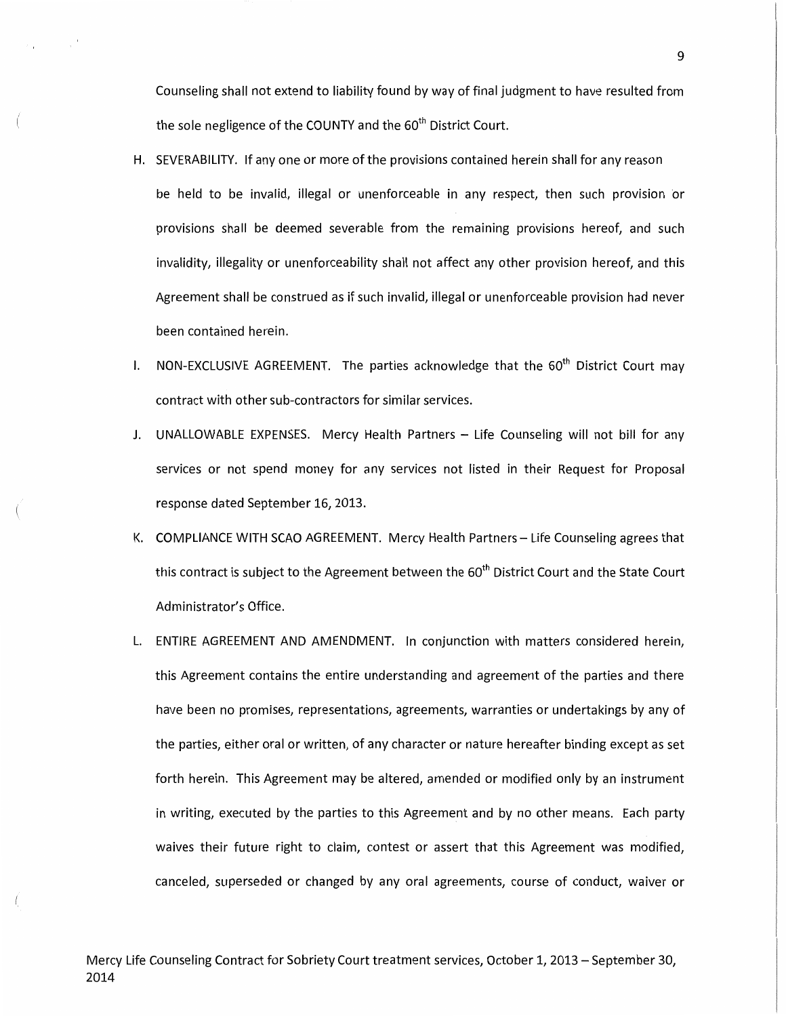Counseling shall not extend to liability found by way of final judgment to have resulted from the sole negligence of the COUNTY and the  $60<sup>th</sup>$  District Court.

- H. SEVERABILITY. If any one or more of the provisions contained herein shall for any reason be held to be invalid, illegal or unenforceable in any respect, then such provision or provisions shall be deemed severable from the remaining provisions hereof, and such invalidity, illegality or unenforceability shall not affect any other provision hereof, and this Agreement shall be construed as if such invalid, illegal or unenforceable provision had never been contained herein.
- I. NON-EXCLUSIVE AGREEMENT. The parties acknowledge that the  $60<sup>th</sup>$  District Court may contract with other sub-contractors for similar services.
- J. UNALLOWABLE EXPENSES. Mercy Health Partners Life Counseling will not bill for any services or not spend money for any services not listed in their Request for Proposal response dated September 16, 2013.
- K. COMPLIANCE WITH SCAO AGREEMENT. Mercy Health Partners- Life Counseling agrees that this contract is subject to the Agreement between the  $60<sup>th</sup>$  District Court and the State Court Administrator's Office.
- L. ENTIRE AGREEMENT AND AMENDMENT. In conjunction with matters considered herein, this Agreement contains the entire understanding and agreement of the parties and there have been no promises, representations, agreements, warranties or undertakings by any of the parties, either oral or written, of any character or nature hereafter binding except as set forth herein. This Agreement may be altered, amended or modified only by an instrument in writing, executed by the parties to this Agreement and by no other means. Each party waives their future right to claim, contest or assert that this Agreement was modified, canceled, superseded or changed by any oral agreements, course of conduct, waiver or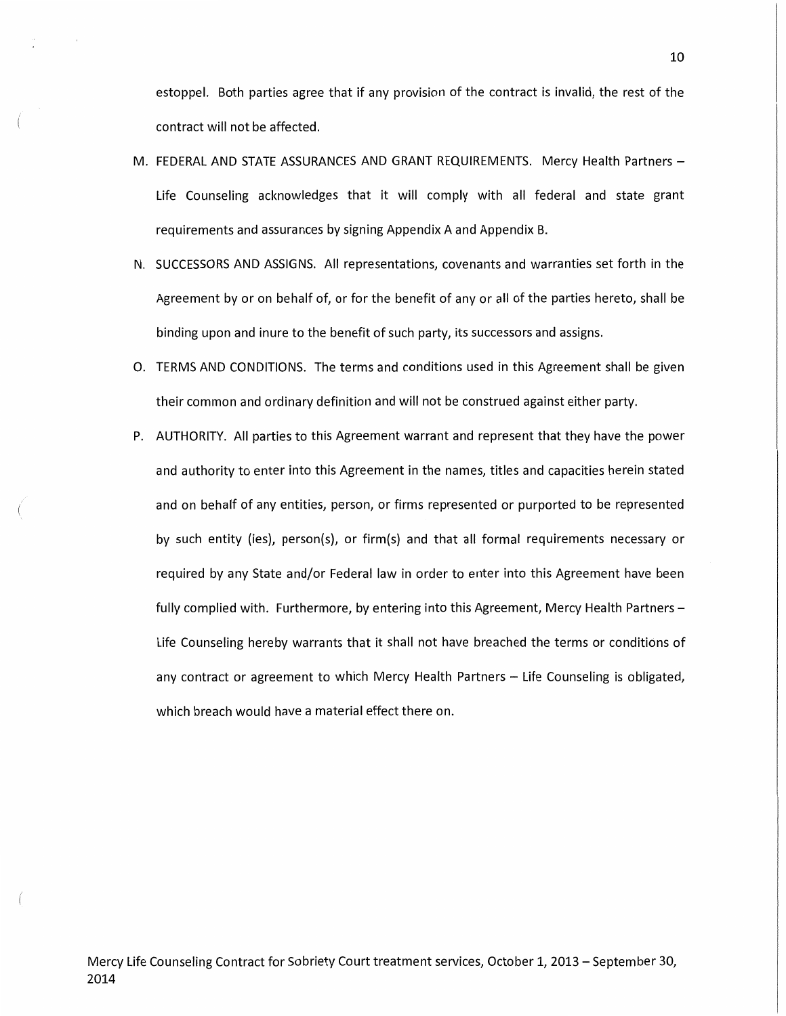estoppel. Both parties agree that if any provision of the contract is invalid, the rest of the contract will not be affected.

- M. FEDERAL AND STATE ASSURANCES AND GRANT REQUIREMENTS. Mercy Health Partners -Life Counseling acknowledges that it will comply with all federal and state grant requirements and assurances by signing Appendix A and Appendix B.
- N. SUCCESSORS AND ASSIGNS. All representations, covenants and warranties set forth in the Agreement by or on behalf of, or for the benefit of any or all of the parties hereto, shall be binding upon and inure to the benefit of such party, its successors and assigns.
- 0. TERMS AND CONDITIONS. The terms and conditions used in this Agreement shall be given their common and ordinary definition and will not be construed against either party.
- P. AUTHORITY. All parties to this Agreement warrant and represent that they have the power and authority to enter into this Agreement in the names, titles and capacities herein stated and on behalf of any entities, person, or firms represented or purported to be represented by such entity (ies), person(s), or firm(s) and that all formal requirements necessary or required by any State and/or Federal law in order to enter into this Agreement have been fully complied with. Furthermore, by entering into this Agreement, Mercy Health Partners -Life Counseling hereby warrants that it shall not have breached the terms or conditions of any contract or agreement to which Mercy Health Partners - Life Counseling is obligated, which breach would have a material effect there on.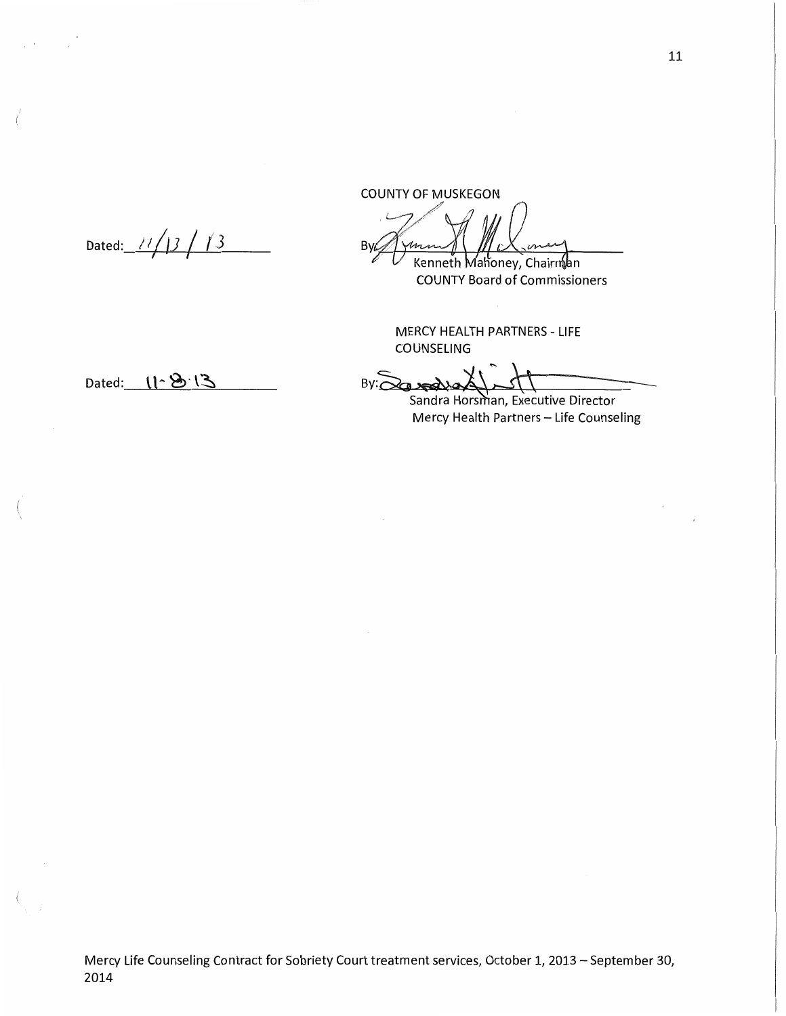COUNTY OF MUSKEGON

B<sub>V</sub> Kenneth Mahoney, Chairnan

**COUNTY Board of Commissioners** 

MERCY HEALTH PARTNERS- LIFE COUNSELING

By: 30 - Sandra Horsman, Executive Director

Mercy Health Partners - Life Counseling

Dated: *II* /JJ / ( *3*  I I

Dated: 11-8.13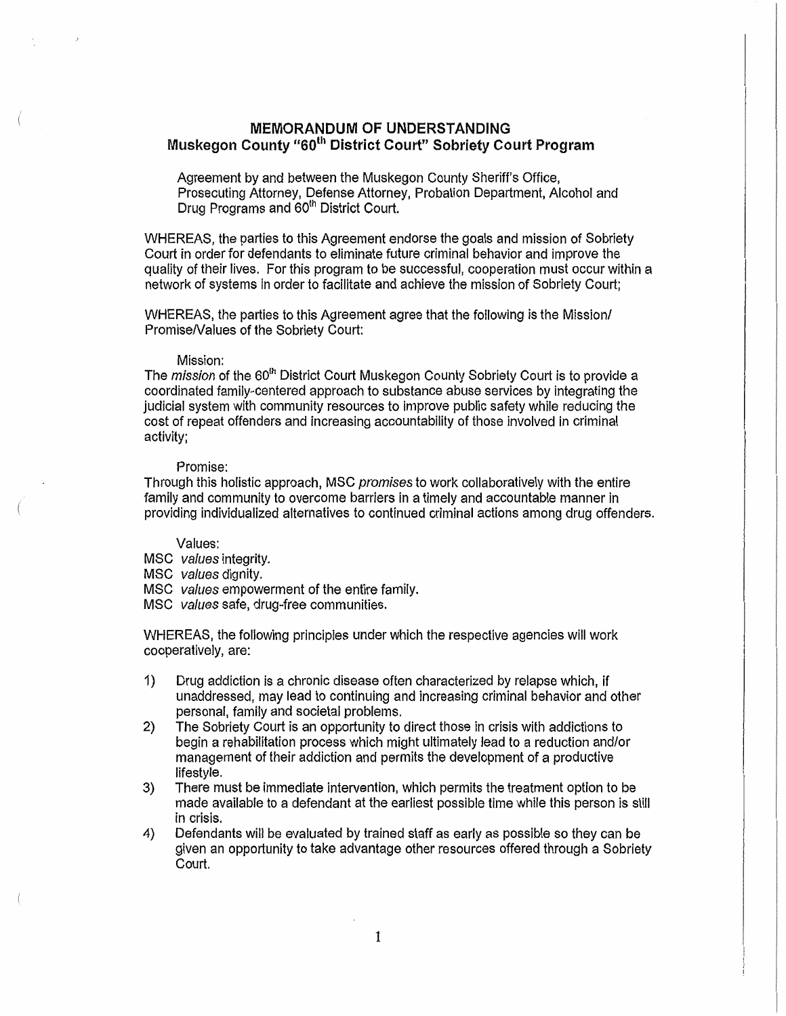## MEMORANDUM OF UNDERSTANDING Muskegon County "60<sup>th</sup> District Court" Sobriety Court Program

Agreement by and between the Muskegon County Sheriff's Office, Prosecuting Attorney, Defense Attorney, Probation Department, Alcohol and Drug Programs and 60<sup>th</sup> District Court.

WHEREAS, the parties to this Agreement endorse the goals and mission of Sobriety Court in order for defendants to eliminate future criminal behavior and improve the quality of their lives. For this program to be successful, cooperation must occur within a network of systems in order to facilitate and achieve the mission of Sobriety Court;

WHEREAS, the parties to this Agreement agree that the following is the Mission/ PromiseNalues of the Sobriety Court:

#### Mission:

The mission of the 60<sup>th</sup> District Court Muskegon County Sobriety Court is to provide a coordinated family-centered approach to substance abuse services by integrating the judicial system with community resources to improve public safety while reducing the cost of repeat offenders and increasing accountability of those involved in criminal activity;

#### Promise:

Through this holistic approach, MSC promises to work collaboratively with the entire family and community to overcome barriers in a timely and accountable manner in providing individualized alternatives to continued criminal actions among drug offenders.

#### Values:

- MSC values integrity.
- MSC values dignity.
- MSC values empowerment of the entire family.
- MSC values safe, drug-free communities.

WHEREAS, the following principles under which the respective agencies will work cooperatively, are:

- 1) Drug addiction is a chronic disease often characterized by relapse which, if unaddressed, may lead to continuing and increasing criminal behavior and other personal, family and societal problems.
- 2) The Sobriety Court is an opportunity to direct those in crisis with addictions to begin a rehabilitation process which might ultimately lead to a reduction and/or management of their addiction and permits the development of a productive lifestyle.
- 3) There must be immediate intervention, which permits the treatment option to be made available to a defendant at the earliest possible time while this person is still in crisis.
- 4) Defendants will be evaluated by trained staff as early as possible so they can be given an opportunity to take advantage other resources offered through a Sobriety Court.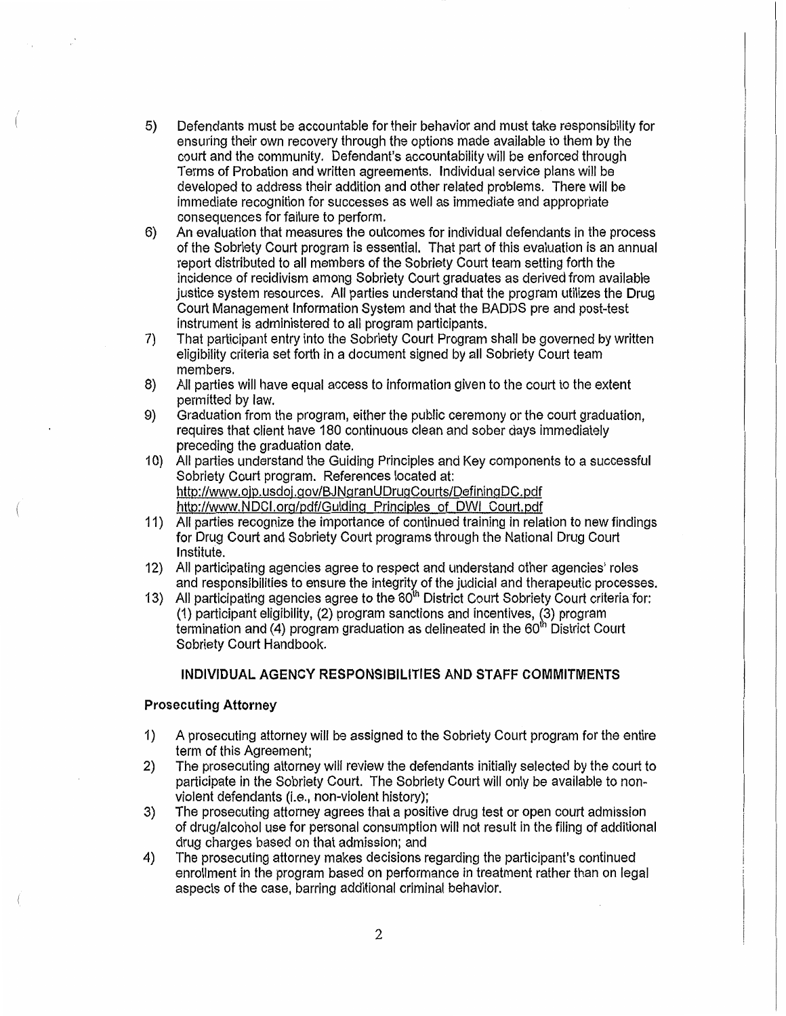- 5) Defendants must be accountable for their behavior and must take responsibility for ensuring their own recovery through the options made available to them by the court and the community. Defendant's accountability will be enforced through Terms of Probation and written agreements. Individual service plans wil1 be deveJoped to address their addition and other related problems. There will be immediate recognition for successes as well as immediate and appropriate consequences for failure to perform.
- 6) An evaluation that measures the outcomes for individual defendants in the process of the Sobriety Court program is essential. That part of this evaluation is an annual report distributed to all members of the Sobriety Court team setting forth the incidence of recidivism among Sobriety Court graduates as derived from available justice system resources. All parties understand that the program utilizes the Drug Court Management Information System and that the BADDS pre and post-test instrument is administered to all program participants.
- 7) That participant entry into the Sobriety Court Program shall be governed by written eligibility criteria set forth in a document signed by all Sobriety Court team members.
- 8) All parties will have equal access to information given to the court to the extent permitted by law.
- 9) Graduation from the program, either the public ceremony or the court graduation, requires that client have 180 continuous clean and sober days immediately preceding the graduation date.
- 1 0) All parties understand the Guiding Principles and Key components to a successful Sobriety Court program. References located at: http://www.ojp.usdoj.gov/BJNgranUDrugCourts/DefiningDC.pdf http://www.NDCI.org/pdf/Guiding Principles of OWl Court.pdf
- 11) All parties recognize the importance of continued training in relation to new findings for Drug Court and Sobriety Court programs through the National Drug Court Institute.
- 12) All participating agencies agree to respect and understand other agencies' roles and responsibilities to ensure the integrity of the judicial and therapeutic processes.
- 13) All participating agencies agree to the 60<sup>th</sup> District Court Sobriety Court criteria for: (1) participant eligibility, (2) program sanctions and incentives, (3) program termination and  $(4)$  program graduation as delineated in the  $60<sup>th</sup>$  District Court Sobriety Court Handbook.

## **INDIVIDUAL AGENCY RESPONSIBILITIES AND STAFF COMMITMENTS**

## **Prosecuting Attorney**

- 1) A prosecuting attorney will be assigned to the Sobriety Court program for the entire term of this Agreement;
- 2) The prosecuting attorney will review the defendants initially selected by the court to participate in the Sobriety Court. The Sobriety Court will only be available to nonviolent defendants (i.e., non-violent history);
- 3) The prosecuting attorney agrees that a positive drug test or open court admission of drug/alcohol use for personal consumption will not result in the filing of additional drug charges based on that admission; and
- 4) The prosecuting attorney makes decisions regarding the participant's continued enrollment in the program based on performance in treatment rather than on legal aspects of the case, barring additional criminal behavior.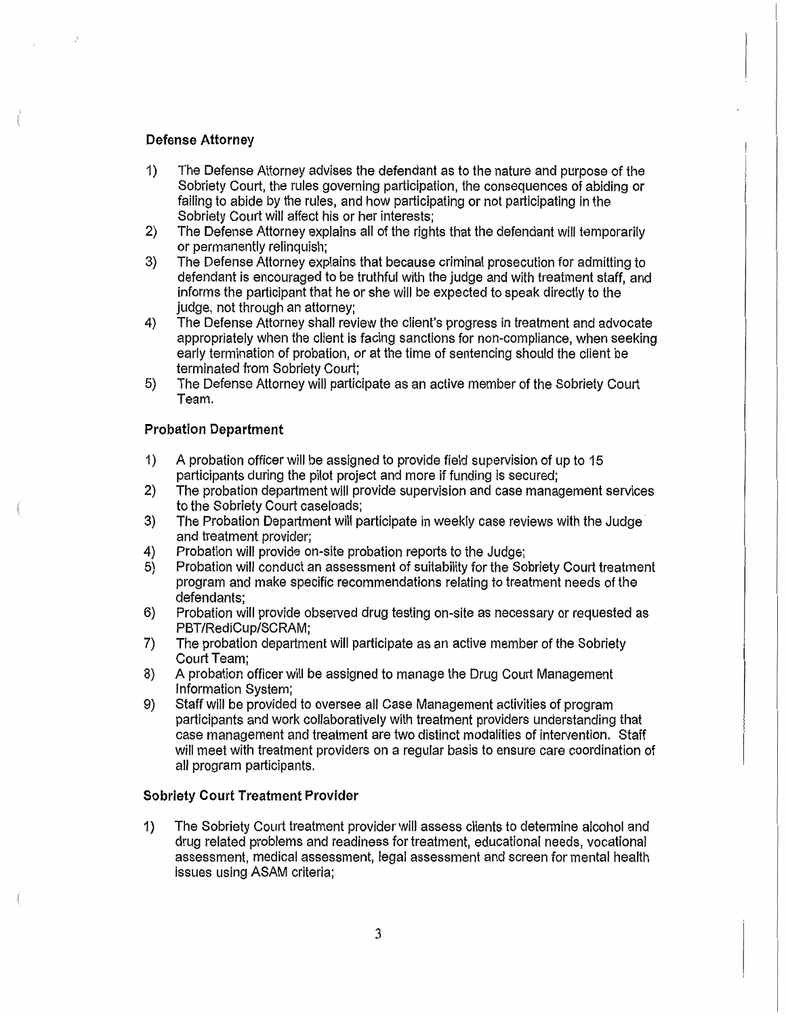## Defense Attorney

- 1) The Defense Attorney advises the defendant as to the nature and purpose of the Sobriety Court, the rules governing participation, the consequences of abiding or failing to abide by the rules, and how participating or not participating in the Sobriety Court will affect his or her interests;
- 2) The Defense Attorney explains all of the rights that the defendant will temporarily or permanently relinquish;
- 3) The Defense Attorney explains that because criminal prosecution for admitting to defendant is encouraged to be truthful with the judge and with treatment staff, and informs the participant that he or she will be expected to speak directly to the judge, not through an attorney;
- 4) The Defense Attorney shall review the client's progress in treatment and advocate appropriately when the client is facing sanctions for non-compliance, when seeking early termination of probation, or at the time of sentencing should the client be terminated from Sobriety Court;
- 5) The Defense Attorney will participate as an active member of the Sobriety Court Team.

## Probation Department

- 1) A probation officer will be assigned to provide field supervision of up to 15 participants during the pilot project and more if funding is secured;
- 2) The probation department will provide supervision and case management services to the Sobriety Court caseloads;
- 3) The Probation Department will participate in weekly case reviews with the Judge· and treatment provider;
- 4) Probation will provide on-site probation reports to the Judge;<br>5) Probation will conduct an assessment of suitability for the So
- 5) Probation will conduct an assessment of suitability for the Sobriety Court treatment program and make specific recommendations relating to treatment needs of the defendants;
- 6) Probation will provide observed drug testing on-site as necessary or requested as PBT/RediCup/SCRAM;
- 7) The probation department will participate as an active member of the Sobriety Court Team;
- 8) A probation officer will be assigned to manage the Drug Court Management Information System;
- 9) Staff will be provided to oversee all Case Management activities of program participants and work collaboratively with treatment providers understanding that case management and treatment are two distinct modalities of intervention. Staff will meet with treatment providers on a regular basis to ensure care coordination of all program participants.

#### Sobriety Court Treatment Provider

1) The Sobriety Court treatment provider will assess clients to determine alcohol and drug related problems and readiness for treatment, educational needs, vocational assessment, medical assessment, legal assessment and screen for mental health issues using ASAM criteria;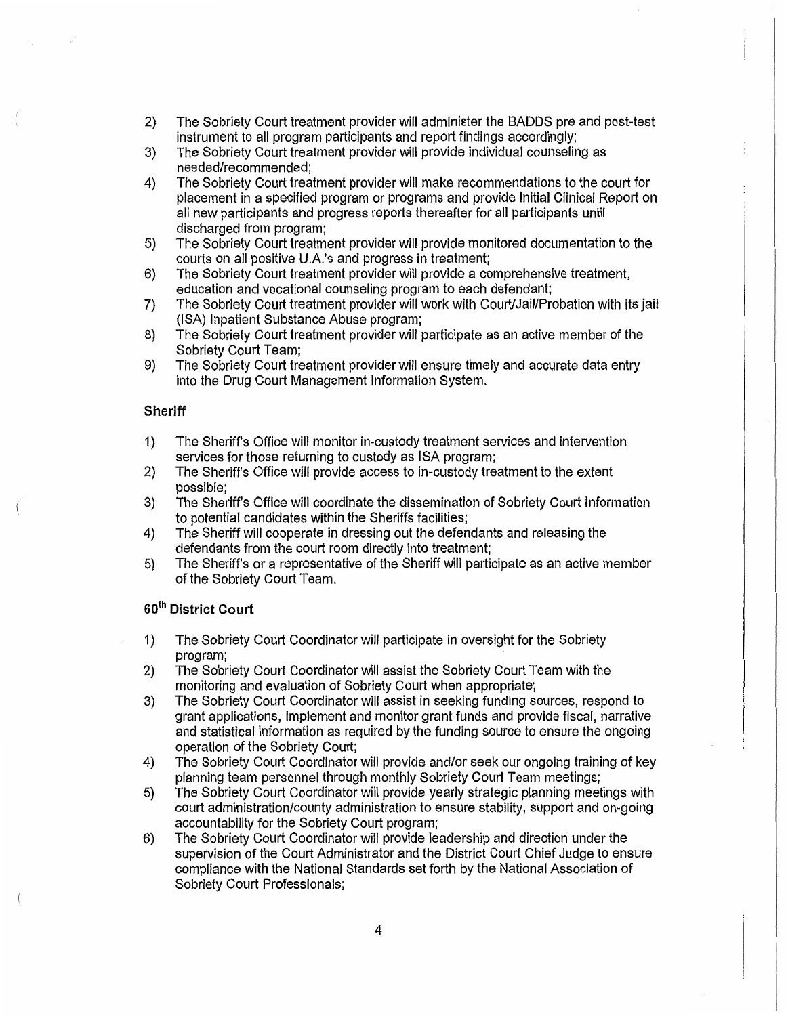- 2) The Sobriety Court treatment provider will administer the BADDS pre and post-test instrument to all program participants and report findings accordingly;
- 3) The Sobriety Court treatment provider will provide individual counseling as needed/recommended;
- 4) The Sobriety Court treatment provider will make recommendations to the court for placement in a specified program or programs and provide Initial Clinical Report on all new participants and progress reports thereafter for all participants until discharged from program;
- 5) The Sobriety Court treatment provider will provide monitored documentation to the courts on all positive U.A.'s and progress in treatment;
- 6) The Sobriety Court treatment provider will provide a comprehensive treatment, education and vocational counseling program to each defendant;
- 7) The Sobriety Court treatment provider will work with Court/Jail/Probation with its jail (ISA) Inpatient Substance Abuse program;
- 8) The Sobriety Court treatment provider will participate as an active member of the Sobriety court Team;
- 9) The Sobriety Court treatment provider will ensure timely and accurate data entry into the Drug Court Management Information System.

## **Sheriff**

- 1) The Sheriff's Office will monitor in-custody treatment services and intervention services for those returning to custody as ISA program;
- 2) The Sheriff's Office will provide access to in-custody treatment to the extent possible;
- 3) The Sheriff's Office will coordinate the dissemination of Sobriety Court Information to potential candidates within the Sheriffs facilities;
- 4) The Sheriff will cooperate in dressing out the defendants and releasing the defendants from the court room directly into treatment;
- 5) The Sheriff's or a representative of the Sheriff will participate as an active member of the Sobriety Court Team.

## 60th **District Court**

- 1) The Sobriety Court Coordinator will participate in oversight for the Sobriety program;
- 2) The Sobriety Court Coordinator will assist the Sobriety Court Team with the monitoring and evaluation of Sobriety Court when appropriate;
- 3) The Sobriety Court Coordinator will assist in seeking funding sources, respond to grant applications, implement and monitor grant funds and provide fiscal, narrative and statistical information as required by the funding source to ensure the ongoing operation of the Sobriety Court;
- 4) The Sobriety Court Coordinator will provide and/or seek our ongoing training of key planning team personnel through monthly Sobriety Court Team meetings;
- 5) The Sobriety Court Coordinator will provide yearly strategic planning meetings with court administration/county administration to ensure stability, support and on-going accountability for the Sobriety Court program;
- 6) The Sobriety Court Coordinator will provide leadership and direction under the supervision of the Court Administrator and the District Court Chief Judge to ensure compliance with the National Standards set forth by the National Association of Sobriety Court Professionals;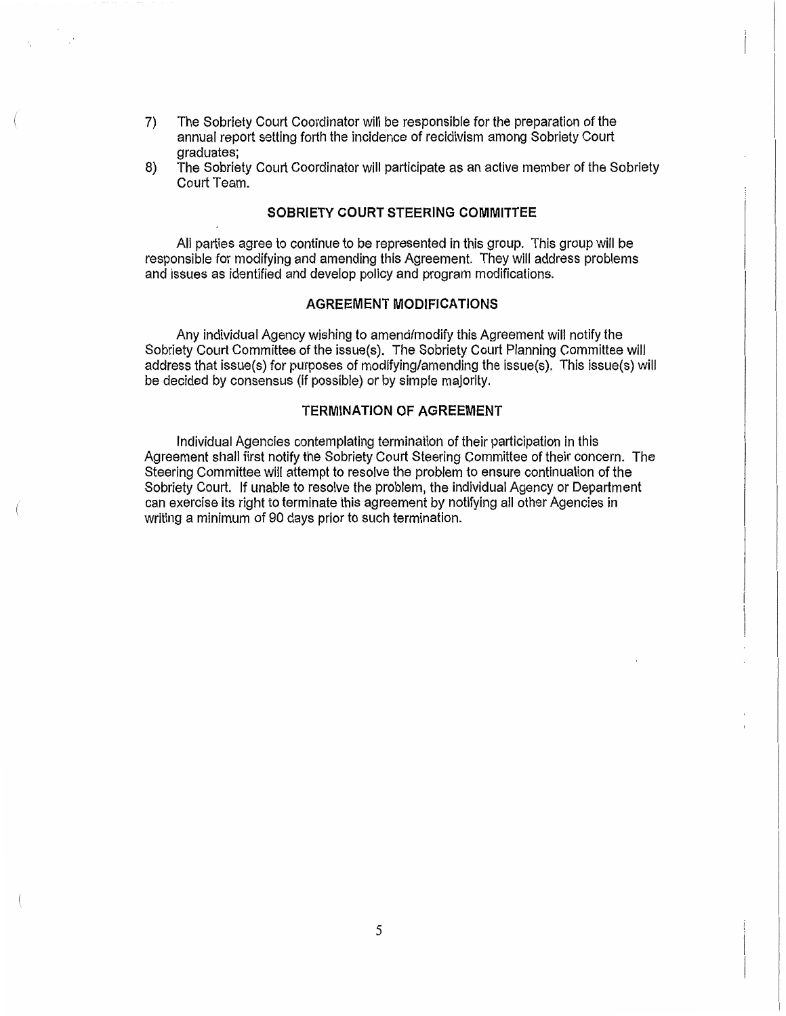- 7) The Sobriety Court Coordinator will be responsible for the preparation of the annual report setting forth the incidence of recidivism among Sobriety Court graduates;
- 8) The Sobriety Court Coordinator will participate as an active member of the Sobriety Court Team.

## SOBRIETY COURT STEERING COMMITTEE

All parties agree to continue to be represented in this group. This group will be responsible for modifying and amending this Agreement. They will address problems and issues as identified and develop policy and program modifications.

## AGREEMENT MODIFICATIONS

Any individual Agency wjshing to amend/modify this Agreement will notify the Sobriety Court Committee of the issue(s). The Sobriety Court Planning Committee will address that issue(s) for purposes of modifying/amending the issue(s). This issue(s) will be decided by consensus (if possible) or by simple majority.

## TERMINATION OF AGREEMENT

Individual Agencies contemplating termination of their participation in this Agreement shall first notify the Sobriety Court Steering Committee of their concern. The Steering Committee will attempt to resolve the problem to ensure continuation of the Sobriety Court. If unable to resolve the problem, the individual Agency or Department can exercise its right to terminate this agreement by notifying all other Agencies in writing a minimum of 90 days prior to such termination.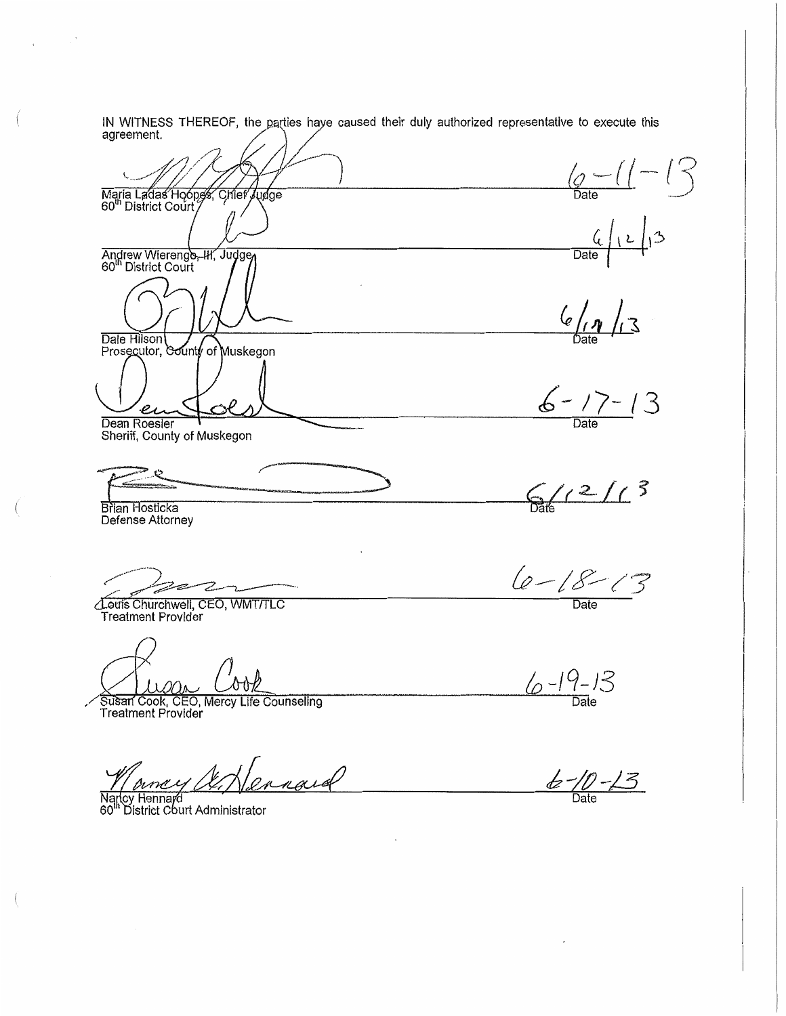IN WITNESS THEREOF, the parties haye caused their duly authorized representative to execute this agreement.

 $\frac{1}{\sqrt{2}}$  Oate  $-1$ Maria Ladas Hoopes, Chief Judge  $\frac{6}{\frac{6}{\frac{6}{\frac{1}{2}}}}\sqrt{2}$ Andrew Wierenge-Hr, Judge Dale Hilson  $6 - 17 - 13$ <br>Date Prosecutor, County of Muskegon  $e$ ı Dean Roesler Sheriff, County of Muskegon  $6/12/13$ Brian Hosticka Defense Attorney  $6 - 18 - 13$ Date Louis Churchwell, CEO, WMT/TLC **Treatment Provider**  $6 - 19 - 13$ 

 $6 - 10 - 13$ 

Susan Cook, CEO, Mercy Life Counseling<br>Treatment Provider

ennard

cy Hennard<br>District Court Administrator 60

 $\left($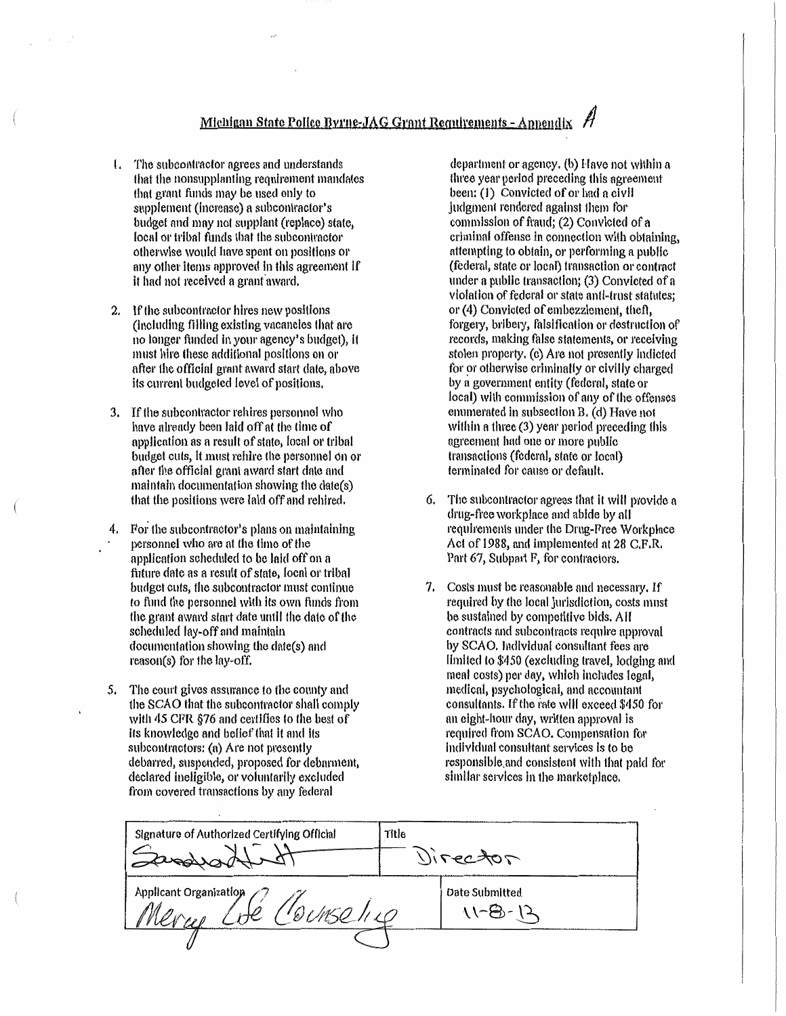## Michigan State Police Byrne-JAG Grant Requirements - Appendix

- 1. The subcontractor agrees and understands that the nonsupplanting requirement mandates that grant funds may be used only to supplement (increase) a subcontractor's budget and may not supplant (replace) state, local or tribal funds that the subcontractor otherwise would have spent on positions or any other items approved in this agreement if it had not received a grant award.
- If the subcontractor hires new positions  $\mathbf{2}$ (including filling existing vacancies that are no longer funded in your agency's budget), it must hire these additional positions on or after the official grant award start date, above its current budgeted level of positions.
- If the subcontractor rehires personnel who 3. have already been laid off at the time of application as a result of state, local or tribal budget cuts, it must rehire the personnel on or after the official grant award start date and maintain documentation showing the date(s) that the positions were laid off and rehired.
- 4. For the subcontractor's plans on maintaining personnel who are at the time of the application scheduled to be laid off on a future date as a result of state, local or tribal budget cuts, the subcontractor must continue to fund the personnel with its own funds from the grant award start date until the date of the scheduled lay-off and maintain documentation showing the date(s) and reason(s) for the lay-off.
- The court gives assurance to the county and 5. the SCAO that the subcontractor shall comply with 45 CFR §76 and certifies to the best of its knowledge and belief that it and its subcontractors: (a) Are not presently debarred, suspended, proposed for debarment, declared ineligible, or voluntarily excluded from covered transactions by any federal

department or agency, (b) Have not within a three year period preceding this agreement been: (1) Convicted of or had a civil judgment rendered against them for commission of fraud; (2) Convicted of a criminal offense in connection with obtaining, attempting to obtain, or performing a public (federal, state or local) transaction or contract under a public transaction; (3) Convicted of a violation of federal or state anti-trust statutes; or (4) Convicted of embezzlement, theft, forgery, bribery, falsification or destruction of records, making false statements, or receiving stolen property, (c) Are not presently indicted for or otherwise criminally or civilly charged by a government entity (federal, state or local) with commission of any of the offenses enumerated in subsection B, (d) Have not within a three (3) year period preceding this agreement had one or more public transactions (federal, state or local) terminated for cause or default.

- The subcontractor agrees that it will provide a 6. drug-free workplace and abide by all requirements under the Drug-Free Workplace Act of 1988, and implemented at 28 C.F.R. Part 67, Subpart F, for contractors.
- 7. Costs must be reasonable and necessary. If required by the local jurisdiction, costs must be sustained by competitive bids. All contracts and subcontracts require approval by SCAO. Individual consultant fees are limited to \$450 (excluding travel, lodging and meal costs) per day, which includes legal, medical, psychological, and accountant consultants. If the rate will exceed \$450 for an eight-hour day, written approval is required from SCAO. Compensation for individual consultant services is to be responsible and consistent with that paid for similar services in the marketplace.

| Signature of Authorized Certifying Official | Title<br>Director |
|---------------------------------------------|-------------------|
| Applicant Organization                      | Date Submitted    |
|                                             |                   |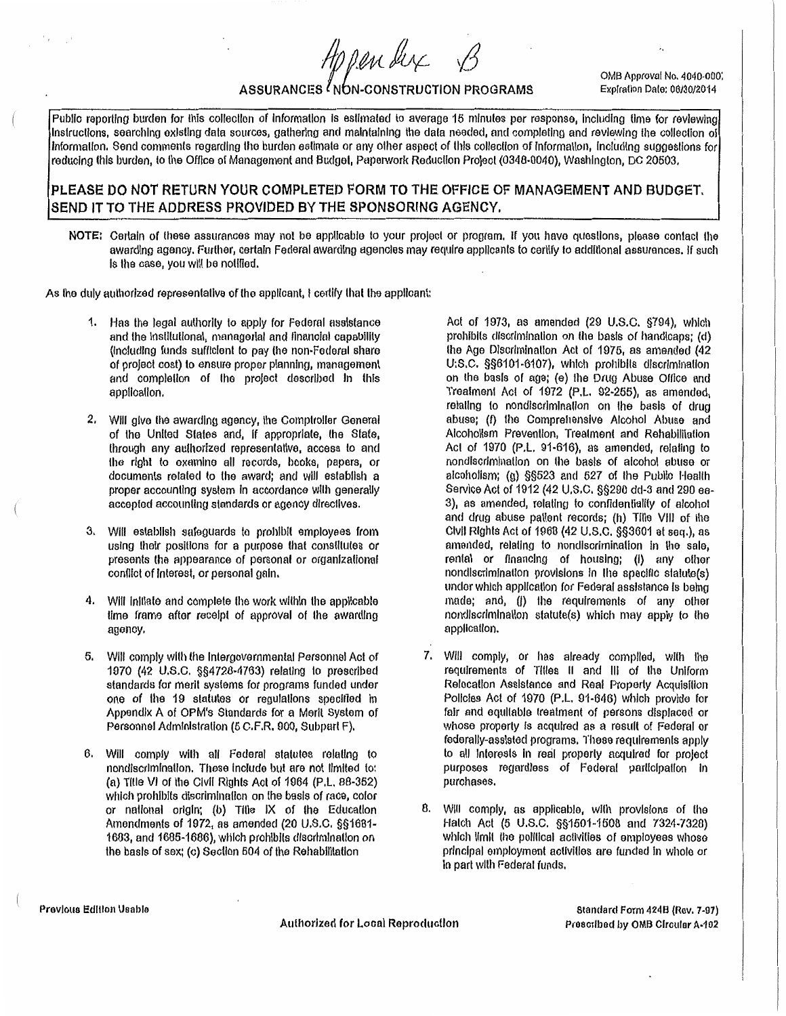OMB Approval No. 4040·000: Explrallon Date: 06/30/2014

# ASSURANCES NON-CONSTRUCTION PROGRAMS

Appender

Public reporting burden for this collection of information is estimated to average 15 minutes per response, including time for reviewing Instructions, searching existing data sources, gathering and maintaining the data needed, and completing and reviewing the collection of Information. Send comments regarding the burden estimate or any other aspect of this collection of information, including suggestions for reducing this burden, to the Office of Management and Budget, Papetwork Reducllon Project (0348-0040), Washington, DC 20503.

## PLEASE DO NOT RETURN YOUR COMPLETED FORM TO THE OFFICE OF MANAGEMENT AND BUDGET, SEND IT TO THE ADDRESS PROVIDED BY THE SPONSORING AGENCY.

NOTE: Certain of these assurances may not be applicable to your project or program, if you have questions, please contact the awarding agency. Further, certain Federal awarding agencies may require applicants to certify to additional assurances. If such Is the case, you will be notified.

As the duly authorized representative of the applicant, I certify that the applicant:

- Has the legal authority to apply for Federal assistance and the Institutional, managerial and financial capability (Including funds sufficient to pay the non·Federal share of project cost) to ensure proper planning, management and completion of the project described in this application.
- 2. Will give the awarding agency, the Comptroller General of the United States and, If appropriate, the State, through any authorized representative, access to and the right to examine all records, hooks, papers, or documents related to the award; and will establish a proper accounting system in accordance with generally accepfed accounting standards or agency dlrecllves.
- 3. Will establish safeguards to prohibit employees from using their positions for a purpose that constitutes or presents the appearance of personal or organizational conflict of Interest, or personal gain.
- 4. Wllf lnltlale and complete lhe work within the applicable Ume frame after receipt of approval of the awarding agenoy.
- 5. Will comply wllh the Intergovernmental Personnel Act of 1970 (42 U.S.C. §§4728-4763) relating to prescribed standards for merit systems for programs funded under one of the 19 statutes or regulallons specified In Appendix A of OPM's Standards for a Merit System of Personnel Administration (5 C.F.R. 900, Subpart F).
- 6. Will comply wllh all Federal statutes relating to nondlscrlmfnatlon. These include but are not limited to: (a) IItie VI of the Civil Rights Act of 1964 (P.L. 88-352) which prohibits discrimination on the basis of race, color or national orrgln; (b) Title IX of the Educallon Amendments of 1972, as amended  $(20 \cup .S.C. \S§1681-$ 1683, and 1685-1686), which prohibits discrimination on the basis of sex; (c) Section 504 of the Rehabilitation

Act or 1973, as amended (29 U.S.C. §794), which prohibits discrimination on the basis of handicaps; (d) the Age Discrimination Act of 1975, as amended (42 U:S.C. §§6101-6107), which prohibits discrimination on the basis of agej (e) the Drug Abuse Office and Treatment Act or 1972 (P.l. 92·255), as amended, relating to nondlscrlmlnalion on lhe basis of drug abuse; (f) the Comprehensive Alcohol Abuse and Alcoholism Prevention, Treatment and Rehabilitation Act of 1970 (P.L. 91-616), as amended, relating to nondiscrimination on the basis of alcohol abuse or alcoholism; (g) §§523 and 527 of lhe Publlo Healfh Service Act of 1912 (42 U.S.C. §§290 dd-3 and 290 ee-3), as amended, relating to confidentiality of alcohol and drug abuse patient records; (h) Tille VIII of lhe Civil Rights Act of 1960 (42 U.S.C. §§3601 et seq.), as amended, relating to nondiscrimination in the sale, rental or financing of housing; (I) any other nondiscrimination provisions in the specific statute(s) undor which application for Federal assistance fs baing made; and, (i) the requirements of any other nondiscrimination statute(s) which may apply to the application.

- 7. Will comply, or has already compiled, with the requirements of Titles II and Ill of lha Uniform Relocation Assistance and Real Property Acquisition Policies Act of 1970 (P.L. 91-646) which provide for fair and equitable treatment of persons displaced or whose property is acquired as a result of Federal or federally-assisted programs. These requirements apply to all Interests in real properly acquired for project purposes regardless of Federal participation In purchases.
- B. Will comply, as applicable, wilh provisions of lha Hatch Act (5 U.s.c. §§1501~1500 and 7324-7320) which limit the political activities of employees whose principal employment activities are funded in whole or In part with Federal funds.

Authorized for Local Reproduction

Standard Form 424B {Rev. 7·97) Prescribed by OMB Circular A-102